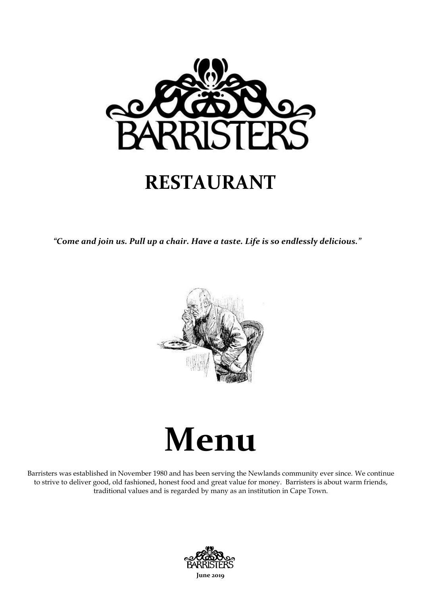

#### **RESTAURANT**

*"Come and join us. Pull up a chair. Have a taste. Life is so endlessly delicious."*



# **Menu**

Barristers was established in November 1980 and has been serving the Newlands community ever since. We continue to strive to deliver good, old fashioned, honest food and great value for money. Barristers is about warm friends, traditional values and is regarded by many as an institution in Cape Town.

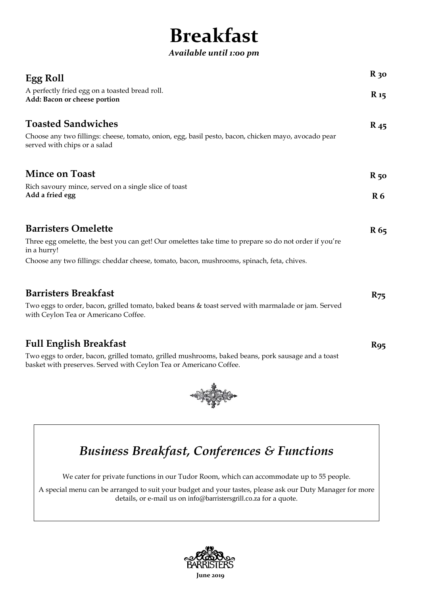## **Breakfast**

*Available until 1:00 pm*

| <b>Egg Roll</b>                                                                                                                                                          | $R_{30}$        |
|--------------------------------------------------------------------------------------------------------------------------------------------------------------------------|-----------------|
| A perfectly fried egg on a toasted bread roll.<br>Add: Bacon or cheese portion                                                                                           | $R_{15}$        |
| <b>Toasted Sandwiches</b>                                                                                                                                                | $R_{45}$        |
| Choose any two fillings: cheese, tomato, onion, egg, basil pesto, bacon, chicken mayo, avocado pear<br>served with chips or a salad                                      |                 |
| <b>Mince on Toast</b>                                                                                                                                                    | $R_{50}$        |
| Rich savoury mince, served on a single slice of toast<br>Add a fried egg                                                                                                 |                 |
| <b>Barristers Omelette</b>                                                                                                                                               | R <sub>65</sub> |
| Three egg omelette, the best you can get! Our omelettes take time to prepare so do not order if you're<br>in a hurry!                                                    |                 |
| Choose any two fillings: cheddar cheese, tomato, bacon, mushrooms, spinach, feta, chives.                                                                                |                 |
| <b>Barristers Breakfast</b>                                                                                                                                              | $R_{75}$        |
| Two eggs to order, bacon, grilled tomato, baked beans & toast served with marmalade or jam. Served<br>with Ceylon Tea or Americano Coffee.                               |                 |
| <b>Full English Breakfast</b>                                                                                                                                            | R <sub>95</sub> |
| Two eggs to order, bacon, grilled tomato, grilled mushrooms, baked beans, pork sausage and a toast<br>basket with preserves. Served with Ceylon Tea or Americano Coffee. |                 |



*Business Breakfast, Conferences & Functions*

We cater for private functions in our Tudor Room, which can accommodate up to 55 people.

A special menu can be arranged to suit your budget and your tastes, please ask our Duty Manager for more details, or e-mail us on [info@barristersgrill.co.za](mailto:info@barristersgrill.co.za) for a quote.

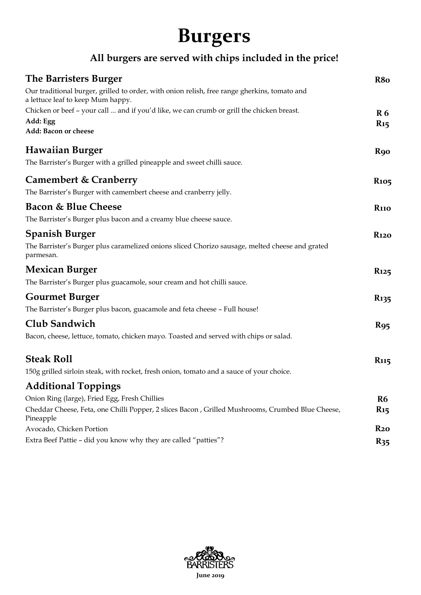### **Burgers**

#### **All burgers are served with chips included in the price!**

| <b>The Barristers Burger</b>                                                                                                      | R <sub>8</sub> o        |
|-----------------------------------------------------------------------------------------------------------------------------------|-------------------------|
| Our traditional burger, grilled to order, with onion relish, free range gherkins, tomato and<br>a lettuce leaf to keep Mum happy. |                         |
| Chicken or beef - your call  and if you'd like, we can crumb or grill the chicken breast.                                         | R <sub>6</sub>          |
| Add: Egg<br>Add: Bacon or cheese                                                                                                  | $R_{15}$                |
| Hawaiian Burger                                                                                                                   | <b>R</b> 90             |
| The Barrister's Burger with a grilled pineapple and sweet chilli sauce.                                                           |                         |
| <b>Camembert &amp; Cranberry</b><br>The Barrister's Burger with camembert cheese and cranberry jelly.                             | <b>R</b> <sub>105</sub> |
| <b>Bacon &amp; Blue Cheese</b>                                                                                                    | <b>R</b> 110            |
| The Barrister's Burger plus bacon and a creamy blue cheese sauce.                                                                 |                         |
| Spanish Burger                                                                                                                    | <b>R120</b>             |
| The Barrister's Burger plus caramelized onions sliced Chorizo sausage, melted cheese and grated<br>parmesan.                      |                         |
| <b>Mexican Burger</b>                                                                                                             | <b>R</b> 125            |
| The Barrister's Burger plus guacamole, sour cream and hot chilli sauce.                                                           |                         |
| <b>Gourmet Burger</b>                                                                                                             | <b>R</b> <sub>135</sub> |
| The Barrister's Burger plus bacon, guacamole and feta cheese - Full house!                                                        |                         |
| Club Sandwich                                                                                                                     | <b>R95</b>              |
| Bacon, cheese, lettuce, tomato, chicken mayo. Toasted and served with chips or salad.                                             |                         |
| <b>Steak Roll</b>                                                                                                                 | <b>R</b> <sub>115</sub> |
| 150g grilled sirloin steak, with rocket, fresh onion, tomato and a sauce of your choice.                                          |                         |
| <b>Additional Toppings</b>                                                                                                        |                         |
| Onion Ring (large), Fried Egg, Fresh Chillies                                                                                     | R <sub>6</sub>          |
| Cheddar Cheese, Feta, one Chilli Popper, 2 slices Bacon, Grilled Mushrooms, Crumbed Blue Cheese,<br>Pineapple                     | $R_{15}$                |
| Avocado, Chicken Portion                                                                                                          | $R_{20}$                |
| Extra Beef Pattie - did you know why they are called "patties"?                                                                   | $R_{35}$                |

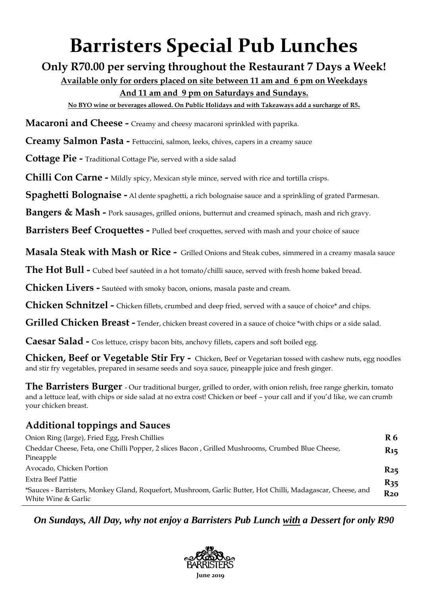### **Barristers Special Pub Lunches**

**Only R70.00 per serving throughout the Restaurant 7 Days a Week!**

**Available only for orders placed on site between 11 am and 6 pm on Weekdays And 11 am and 9 pm on Saturdays and Sundays.**

**No BYO wine or beverages allowed. On Public Holidays and with Takeaways add a surcharge of R5.**

**Macaroni and Cheese -** Creamy and cheesy macaroni sprinkled with paprika.

**Creamy Salmon Pasta -** Fettuccini, salmon, leeks, chives, capers in a creamy sauce

**Cottage Pie -** Traditional Cottage Pie, served with a side salad

**Chilli Con Carne -** Mildly spicy, Mexican style mince, served with rice and tortilla crisps.

**Spaghetti Bolognaise -** Al dente spaghetti, a rich bolognaise sauce and a sprinkling of grated Parmesan.

**Bangers & Mash -** Pork sausages, grilled onions, butternut and creamed spinach, mash and rich gravy.

**Barristers Beef Croquettes -** Pulled beef croquettes, served with mash and your choice of sauce

**Masala Steak with Mash or Rice -** Grilled Onions and Steak cubes, simmered in a creamy masala sauce

**The Hot Bull -** Cubed beef sautéed in a hot tomato/chilli sauce, served with fresh home baked bread.

**Chicken Livers -** Sautéed with smoky bacon, onions, masala paste and cream.

**Chicken Schnitzel -** Chicken fillets, crumbed and deep fried, served with a sauce of choice\* and chips.

**Grilled Chicken Breast -** Tender, chicken breast covered in a sauce of choice \*with chips or a side salad.

**Caesar Salad -** Cos lettuce, crispy bacon bits, anchovy fillets, capers and soft boiled egg.

**Chicken, Beef or Vegetable Stir Fry -** Chicken, Beef or Vegetarian tossed with cashew nuts, egg noodles and stir fry vegetables, prepared in sesame seeds and soya sauce, pineapple juice and fresh ginger.

**The Barristers Burger** - Our traditional burger, grilled to order, with onion relish, free range gherkin, tomato and a lettuce leaf, with chips or side salad at no extra cost! Chicken or beef – your call and if you'd like, we can crumb your chicken breast.

#### **Additional toppings and Sauces**

| Onion Ring (large), Fried Egg, Fresh Chillies                                                                                      | R <sub>6</sub>  |
|------------------------------------------------------------------------------------------------------------------------------------|-----------------|
| Cheddar Cheese, Feta, one Chilli Popper, 2 slices Bacon, Grilled Mushrooms, Crumbed Blue Cheese,<br>Pineapple                      | R <sub>15</sub> |
| Avocado, Chicken Portion                                                                                                           | $R_{25}$        |
| Extra Beef Pattie                                                                                                                  | $R_{35}$        |
| *Sauces - Barristers, Monkey Gland, Roquefort, Mushroom, Garlic Butter, Hot Chilli, Madagascar, Cheese, and<br>White Wine & Garlic | $R_{20}$        |

*On Sundays, All Day, why not enjoy a Barristers Pub Lunch with a Dessert for only R90*

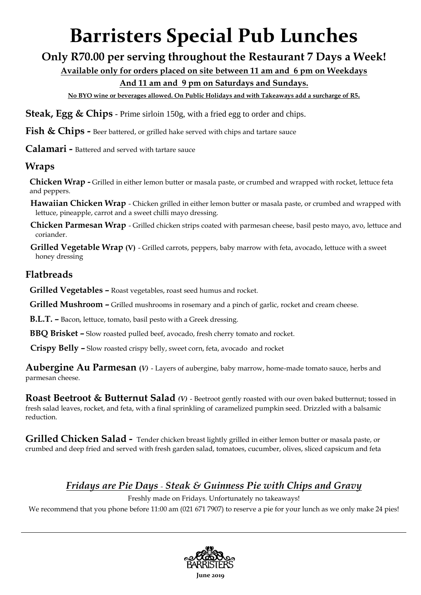# **Barristers Special Pub Lunches**

#### **Only R70.00 per serving throughout the Restaurant 7 Days a Week!**

**Available only for orders placed on site between 11 am and 6 pm on Weekdays** 

#### **And 11 am and 9 pm on Saturdays and Sundays.**

**No BYO wine or beverages allowed. On Public Holidays and with Takeaways add a surcharge of R5.**

**Steak, Egg & Chips** - Prime sirloin 150g, with a fried egg to order and chips.

**Fish & Chips -** Beer battered, or grilled hake served with chips and tartare sauce

**Calamari -** Battered and served with tartare sauce

#### **Wraps**

**Chicken Wrap -** Grilled in either lemon butter or masala paste, or crumbed and wrapped with rocket, lettuce feta and peppers.

- **Hawaiian Chicken Wrap** Chicken grilled in either lemon butter or masala paste, or crumbed and wrapped with lettuce, pineapple, carrot and a sweet chilli mayo dressing.
- **Chicken Parmesan Wrap** Grilled chicken strips coated with parmesan cheese, basil pesto mayo, avo, lettuce and coriander.
- **Grilled Vegetable Wrap (V)** Grilled carrots, peppers, baby marrow with feta, avocado, lettuce with a sweet honey dressing

#### **Flatbreads**

- **Grilled Vegetables –** Roast vegetables, roast seed humus and rocket.
- **Grilled Mushroom –** Grilled mushrooms in rosemary and a pinch of garlic, rocket and cream cheese.
- **B.L.T. –** Bacon, lettuce, tomato, basil pesto with a Greek dressing.
- **BBQ Brisket –** Slow roasted pulled beef, avocado, fresh cherry tomato and rocket.
- **Crispy Belly –** Slow roasted crispy belly, sweet corn, feta, avocado and rocket

**Aubergine Au Parmesan (***V)* - Layers of aubergine, baby marrow, home-made tomato sauce, herbs and parmesan cheese.

**Roast Beetroot & Butternut Salad** *(V)* - Beetroot gently roasted with our oven baked butternut; tossed in fresh salad leaves, rocket, and feta, with a final sprinkling of caramelized pumpkin seed. Drizzled with a balsamic reduction.

**Grilled Chicken Salad -** Tender chicken breast lightly grilled in either lemon butter or masala paste, or crumbed and deep fried and served with fresh garden salad, tomatoes, cucumber, olives, sliced capsicum and feta

#### *Fridays are Pie Days - Steak & Guinness Pie with Chips and Gravy*

Freshly made on Fridays. Unfortunately no takeaways!

We recommend that you phone before 11:00 am (021 671 7907) to reserve a pie for your lunch as we only make 24 pies!

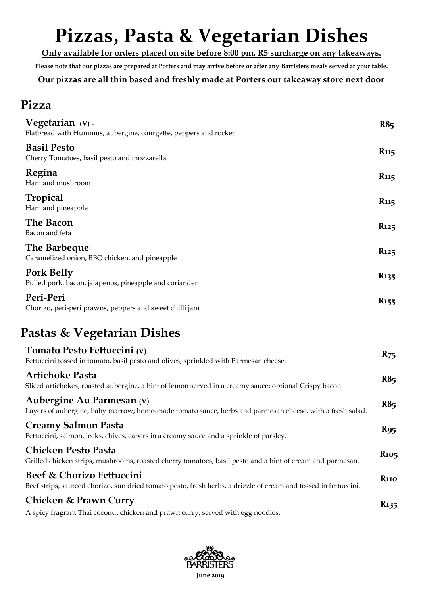## **Pizzas, Pasta & Vegetarian Dishes**

**Only available for orders placed on site before 8:00 pm. R5 surcharge on any takeaways.**

**Please note that our pizzas are prepared at Porters and may arrive before or after any Barristers meals served at your table.**

**Our pizzas are all thin based and freshly made at Porters our takeaway store next door**

#### **Pizza**

| Vegetarian (V) -<br>Flatbread with Hummus, aubergine, courgette, peppers and rocket | R8 <sub>5</sub>         |
|-------------------------------------------------------------------------------------|-------------------------|
| <b>Basil Pesto</b><br>Cherry Tomatoes, basil pesto and mozzarella                   | <b>R</b> 115            |
| Regina<br>Ham and mushroom                                                          | <b>R</b> <sub>115</sub> |
| Tropical<br>Ham and pineapple                                                       | <b>R</b> <sub>115</sub> |
| The Bacon<br>Bacon and feta                                                         | R <sub>125</sub>        |
| The Barbeque<br>Caramelized onion, BBQ chicken, and pineapple                       | <b>R</b> <sub>125</sub> |
| <b>Pork Belly</b><br>Pulled pork, bacon, jalapenos, pineapple and coriander         | <b>R</b> <sub>135</sub> |
| Peri-Peri<br>Chorizo, peri-peri prawns, peppers and sweet chilli jam                | $R_{155}$               |

#### **Pastas & Vegetarian Dishes**

| Tomato Pesto Fettuccini (V)<br>Fettuccini tossed in tomato, basil pesto and olives; sprinkled with Parmesan cheese.                          | $R_{75}$                |
|----------------------------------------------------------------------------------------------------------------------------------------------|-------------------------|
| <b>Artichoke Pasta</b><br>Sliced artichokes, roasted aubergine, a hint of lemon served in a creamy sauce; optional Crispy bacon              | R8 <sub>5</sub>         |
| Aubergine Au Parmesan (V)<br>Layers of aubergine, baby marrow, home-made tomato sauce, herbs and parmesan cheese. with a fresh salad.        | R85                     |
| <b>Creamy Salmon Pasta</b><br>Fettuccini, salmon, leeks, chives, capers in a creamy sauce and a sprinkle of parsley.                         | $R_{95}$                |
| <b>Chicken Pesto Pasta</b><br>Grilled chicken strips, mushrooms, roasted cherry tomatoes, basil pesto and a hint of cream and parmesan.      | <b>R</b> <sub>105</sub> |
| Beef & Chorizo Fettuccini<br>Beef strips, sautéed chorizo, sun dried tomato pesto, fresh herbs, a drizzle of cream and tossed in fettuccini. | <b>R</b> 110            |
| Chicken & Prawn Curry<br>A spicy fragrant Thai coconut chicken and prawn curry; served with egg noodles.                                     | <b>R</b> 135            |

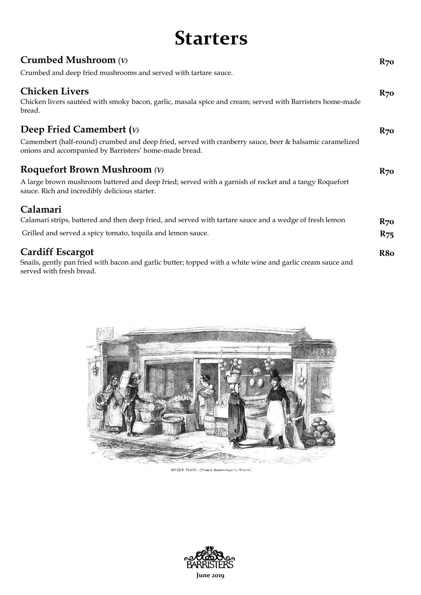#### **Starters**

| Crumbed Mushroom $(V)$                                                                                                                                            | $R_{70}$        |
|-------------------------------------------------------------------------------------------------------------------------------------------------------------------|-----------------|
| Crumbed and deep fried mushrooms and served with tartare sauce.                                                                                                   |                 |
| <b>Chicken Livers</b><br>Chicken livers sautéed with smoky bacon, garlic, masala spice and cream; served with Barristers home-made<br>bread.                      | $R_{70}$        |
| Deep Fried Camembert $(v)$                                                                                                                                        | $R_{70}$        |
| Camembert (half-round) crumbed and deep fried, served with cranberry sauce, beer & balsamic caramelized<br>onions and accompanied by Barristers' home-made bread. |                 |
| <b>Roquefort Brown Mushroom</b> (V)                                                                                                                               | $R_{70}$        |
| A large brown mushroom battered and deep fried; served with a garnish of rocket and a tangy Roquefort<br>sauce. Rich and incredibly delicious starter.            |                 |
| Calamari                                                                                                                                                          |                 |
| Calamari strips, battered and then deep fried, and served with tartare sauce and a wedge of fresh lemon                                                           | $R_{70}$        |
| Grilled and served a spicy tomato, tequila and lemon sauce.                                                                                                       | $R_{75}$        |
| <b>Cardiff Escargot</b>                                                                                                                                           | R <sub>80</sub> |
| Snails, gently pan fried with bacon and garlic butter; topped with a white wine and garlic cream sauce and<br>served with fresh bread.                            |                 |



 $\textbf{DUXES} \text{ PLATE} = \{ \textit{From a Daguerrotype} \text{ } s_d \text{ } \text{Bram} \}.$ 

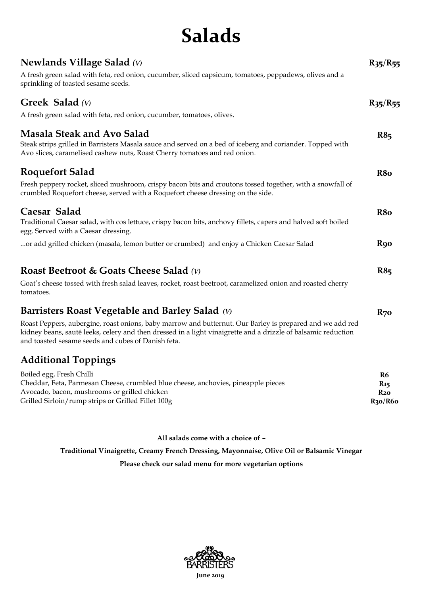### **Salads**

| Newlands Village Salad $(v)$<br>A fresh green salad with feta, red onion, cucumber, sliced capsicum, tomatoes, peppadews, olives and a<br>sprinkling of toasted sesame seeds.                                                                                                   | $R_{35}/R_{55}$                                                                          |
|---------------------------------------------------------------------------------------------------------------------------------------------------------------------------------------------------------------------------------------------------------------------------------|------------------------------------------------------------------------------------------|
| <b>Greek Salad</b> (V)<br>A fresh green salad with feta, red onion, cucumber, tomatoes, olives.                                                                                                                                                                                 | $R_{35}/R_{55}$                                                                          |
| <b>Masala Steak and Avo Salad</b><br>Steak strips grilled in Barristers Masala sauce and served on a bed of iceberg and coriander. Topped with<br>Avo slices, caramelised cashew nuts, Roast Cherry tomatoes and red onion.                                                     | R85                                                                                      |
| <b>Roquefort Salad</b>                                                                                                                                                                                                                                                          | R <sub>8</sub> o                                                                         |
| Fresh peppery rocket, sliced mushroom, crispy bacon bits and croutons tossed together, with a snowfall of<br>crumbled Roquefort cheese, served with a Roquefort cheese dressing on the side.                                                                                    |                                                                                          |
| Caesar Salad<br>Traditional Caesar salad, with cos lettuce, crispy bacon bits, anchovy fillets, capers and halved soft boiled<br>egg. Served with a Caesar dressing.                                                                                                            | R8o                                                                                      |
| or add grilled chicken (masala, lemon butter or crumbed) and enjoy a Chicken Caesar Salad                                                                                                                                                                                       | <b>R</b> 90                                                                              |
| <b>Roast Beetroot &amp; Goats Cheese Salad (V)</b>                                                                                                                                                                                                                              | R85                                                                                      |
| Goat's cheese tossed with fresh salad leaves, rocket, roast beetroot, caramelized onion and roasted cherry<br>tomatoes.                                                                                                                                                         |                                                                                          |
| Barristers Roast Vegetable and Barley Salad (V)                                                                                                                                                                                                                                 | $R_{70}$                                                                                 |
| Roast Peppers, aubergine, roast onions, baby marrow and butternut. Our Barley is prepared and we add red<br>kidney beans, sauté leeks, celery and then dressed in a light vinaigrette and a drizzle of balsamic reduction<br>and toasted sesame seeds and cubes of Danish feta. |                                                                                          |
| <b>Additional Toppings</b>                                                                                                                                                                                                                                                      |                                                                                          |
| Boiled egg, Fresh Chilli<br>Cheddar, Feta, Parmesan Cheese, crumbled blue cheese, anchovies, pineapple pieces<br>Avocado, bacon, mushrooms or grilled chicken<br>Grilled Sirloin/rump strips or Grilled Fillet 100g                                                             | R <sub>6</sub><br><b>R</b> <sub>15</sub><br>$R_{20}$<br>R <sub>30</sub> /R <sub>60</sub> |

**All salads come with a choice of –**

**Traditional Vinaigrette, Creamy French Dressing, Mayonnaise, Olive Oil or Balsamic Vinegar**

**Please check our salad menu for more vegetarian options**

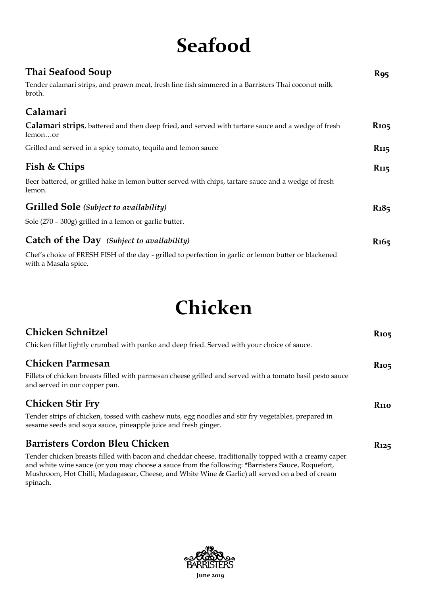## **Seafood**

| Thai Seafood Soup<br>Tender calamari strips, and prawn meat, fresh line fish simmered in a Barristers Thai coconut milk<br>broth. | <b>R</b> 95             |
|-----------------------------------------------------------------------------------------------------------------------------------|-------------------------|
| Calamari                                                                                                                          |                         |
|                                                                                                                                   |                         |
| Calamari strips, battered and then deep fried, and served with tartare sauce and a wedge of fresh<br>lemonor                      | <b>R</b> <sub>105</sub> |
| Grilled and served in a spicy tomato, tequila and lemon sauce                                                                     | R <sub>115</sub>        |
| Fish & Chips                                                                                                                      | R <sub>115</sub>        |
| Beer battered, or grilled hake in lemon butter served with chips, tartare sauce and a wedge of fresh<br>lemon.                    |                         |
| <b>Grilled Sole</b> (Subject to availability)                                                                                     | $R_18_5$                |
| Sole (270 - 300g) grilled in a lemon or garlic butter.                                                                            |                         |
| Catch of the Day (Subject to availability)                                                                                        | R <sub>165</sub>        |
| Chef's choice of FRESH FISH of the day - grilled to perfection in garlic or lemon butter or blackened<br>with a Masala spice.     |                         |

## **Chicken**

| <b>Chicken Schnitzel</b>                                                                                                                                                                                   | <b>R</b> <sub>105</sub> |
|------------------------------------------------------------------------------------------------------------------------------------------------------------------------------------------------------------|-------------------------|
| Chicken fillet lightly crumbed with panko and deep fried. Served with your choice of sauce.                                                                                                                |                         |
| <b>Chicken Parmesan</b>                                                                                                                                                                                    | <b>R</b> <sub>105</sub> |
| Fillets of chicken breasts filled with parmesan cheese grilled and served with a tomato basil pesto sauce<br>and served in our copper pan.                                                                 |                         |
| <b>Chicken Stir Fry</b>                                                                                                                                                                                    | <b>R</b> 110            |
| Tender strips of chicken, tossed with cashew nuts, egg noodles and stir fry vegetables, prepared in<br>sesame seeds and soya sauce, pineapple juice and fresh ginger.                                      |                         |
| <b>Barristers Cordon Bleu Chicken</b>                                                                                                                                                                      | <b>R</b> <sub>125</sub> |
| Tender chicken breasts filled with bacon and cheddar cheese, traditionally topped with a creamy caper<br>and white wine sauce (or you may choose a sauce from the following: *Barristers Sauce, Roquefort, |                         |
| Mushroom, Hot Chilli, Madagascar, Cheese, and White Wine & Garlic) all served on a bed of cream<br>spinach.                                                                                                |                         |

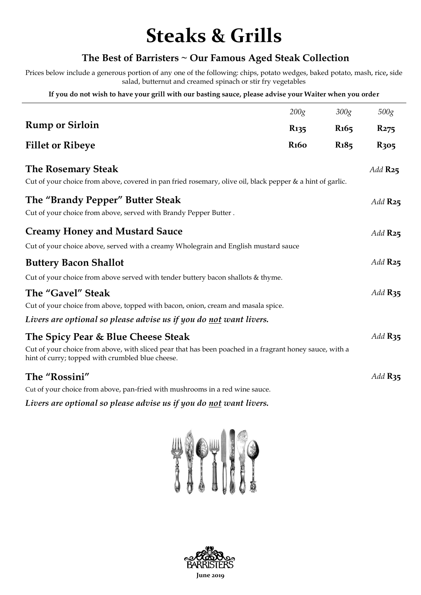### **Steaks & Grills**

#### **The Best of Barristers ~ Our Famous Aged Steak Collection**

Prices below include a generous portion of any one of the following: chips, potato wedges, baked potato, mash, rice**,** side salad, butternut and creamed spinach or stir fry vegetables

**If you do not wish to have your grill with our basting sauce, please advise your Waiter when you order**

|                                                                                                                                                             | 200g                     | 300g                          | 500g             |
|-------------------------------------------------------------------------------------------------------------------------------------------------------------|--------------------------|-------------------------------|------------------|
| <b>Rump or Sirloin</b>                                                                                                                                      | <b>R</b> 135             | R <sub>165</sub>              | R <sub>275</sub> |
| <b>Fillet or Ribeye</b>                                                                                                                                     | <b>R</b> <sub>16</sub> o | R <sub>1</sub> 8 <sub>5</sub> | R <sub>305</sub> |
| <b>The Rosemary Steak</b><br>Cut of your choice from above, covered in pan fried rosemary, olive oil, black pepper & a hint of garlic.                      |                          |                               | Add $R_{25}$     |
| The "Brandy Pepper" Butter Steak<br>Cut of your choice from above, served with Brandy Pepper Butter.                                                        |                          |                               | Add $R_{25}$     |
| <b>Creamy Honey and Mustard Sauce</b>                                                                                                                       |                          |                               | Add $R_{25}$     |
| Cut of your choice above, served with a creamy Wholegrain and English mustard sauce                                                                         |                          |                               |                  |
| <b>Buttery Bacon Shallot</b>                                                                                                                                |                          |                               | Add $R_{25}$     |
| Cut of your choice from above served with tender buttery bacon shallots & thyme.                                                                            |                          |                               |                  |
| The "Gavel" Steak                                                                                                                                           |                          |                               | Add $R_{35}$     |
| Cut of your choice from above, topped with bacon, onion, cream and masala spice.                                                                            |                          |                               |                  |
| Livers are optional so please advise us if you do <u>not</u> want livers.                                                                                   |                          |                               |                  |
| The Spicy Pear & Blue Cheese Steak                                                                                                                          |                          |                               | Add $R_{35}$     |
| Cut of your choice from above, with sliced pear that has been poached in a fragrant honey sauce, with a<br>hint of curry; topped with crumbled blue cheese. |                          |                               |                  |
| The "Rossini"                                                                                                                                               |                          |                               | Add $R_{35}$     |
| Cut of your choice from above, pan-fried with mushrooms in a red wine sauce.                                                                                |                          |                               |                  |

*Livers are optional so please advise us if you do not want livers.*



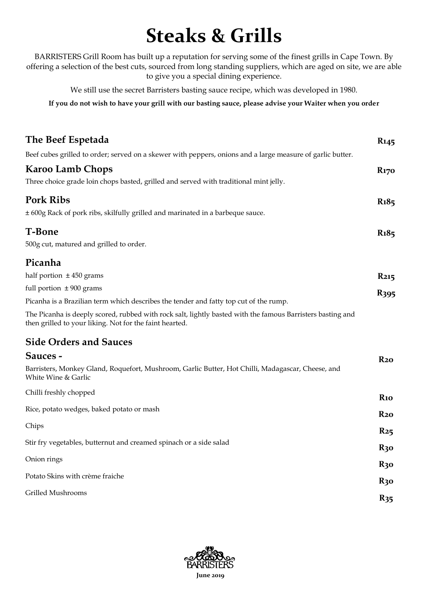### **Steaks & Grills**

BARRISTERS Grill Room has built up a reputation for serving some of the finest grills in Cape Town. By offering a selection of the best cuts, sourced from long standing suppliers, which are aged on site, we are able to give you a special dining experience.

We still use the secret Barristers basting sauce recipe, which was developed in 1980.

**If you do not wish to have your grill with our basting sauce, please advise your Waiter when you order**

| The Beef Espetada                                                                                                                                                     | <b>R</b> 145            |
|-----------------------------------------------------------------------------------------------------------------------------------------------------------------------|-------------------------|
| Beef cubes grilled to order; served on a skewer with peppers, onions and a large measure of garlic butter.                                                            |                         |
| <b>Karoo Lamb Chops</b>                                                                                                                                               | <b>R</b> <sub>170</sub> |
| Three choice grade loin chops basted, grilled and served with traditional mint jelly.                                                                                 |                         |
| <b>Pork Ribs</b>                                                                                                                                                      | <b>R</b> <sub>185</sub> |
| ± 600g Rack of pork ribs, skilfully grilled and marinated in a barbeque sauce.                                                                                        |                         |
| <b>T-Bone</b>                                                                                                                                                         | <b>R</b> <sub>185</sub> |
| 500g cut, matured and grilled to order.                                                                                                                               |                         |
| Picanha                                                                                                                                                               |                         |
| half portion $\pm$ 450 grams                                                                                                                                          | <b>R215</b>             |
| full portion $\pm 900$ grams                                                                                                                                          | R <sub>395</sub>        |
| Picanha is a Brazilian term which describes the tender and fatty top cut of the rump.                                                                                 |                         |
| The Picanha is deeply scored, rubbed with rock salt, lightly basted with the famous Barristers basting and<br>then grilled to your liking. Not for the faint hearted. |                         |
| <b>Side Orders and Sauces</b>                                                                                                                                         |                         |
| Sauces -                                                                                                                                                              | $R_{20}$                |
| Barristers, Monkey Gland, Roquefort, Mushroom, Garlic Butter, Hot Chilli, Madagascar, Cheese, and<br>White Wine & Garlic                                              |                         |
| Chilli freshly chopped                                                                                                                                                | R <sub>10</sub>         |
| Rice, potato wedges, baked potato or mash                                                                                                                             | $R_{20}$                |
| Chips                                                                                                                                                                 | $R_{25}$                |
| Stir fry vegetables, butternut and creamed spinach or a side salad                                                                                                    | $R_3$ o                 |
| Onion rings                                                                                                                                                           | $R_3$ o                 |
| Potato Skins with crème fraiche                                                                                                                                       | $R_3$ o                 |
| Grilled Mushrooms                                                                                                                                                     | $R_{35}$                |
|                                                                                                                                                                       |                         |